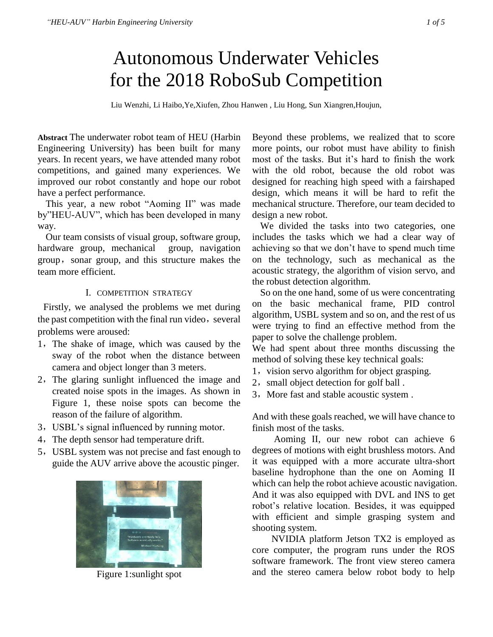# Autonomous Underwater Vehicles for the 2018 RoboSub Competition

Liu Wenzhi, Li Haibo,Ye,Xiufen, Zhou Hanwen , Liu Hong, Sun Xiangren,Houjun,

**Abstract** The underwater robot team of HEU (Harbin Engineering University) has been built for many years. In recent years, we have attended many robot competitions, and gained many experiences. We improved our robot constantly and hope our robot have a perfect performance.

This year, a new robot "Aoming II" was made by"HEU-AUV", which has been developed in many way.

Our team consists of visual group, software group, hardware group, mechanical group, navigation group, sonar group, and this structure makes the team more efficient.

#### I. COMPETITION STRATEGY

Firstly, we analysed the problems we met during the past competition with the final run video, several problems were aroused:

- 1,The shake of image, which was caused by the sway of the robot when the distance between camera and object longer than 3 meters.
- 2,The glaring sunlight influenced the image and created noise spots in the images. As shown in Figure 1, these noise spots can become the reason of the failure of algorithm.
- 3,USBL's signal influenced by running motor.
- 4,The depth sensor had temperature drift.
- 5,USBL system was not precise and fast enough to guide the AUV arrive above the acoustic pinger.



Figure 1:sunlight spot

Beyond these problems, we realized that to score more points, our robot must have ability to finish most of the tasks. But it's hard to finish the work with the old robot, because the old robot was designed for reaching high speed with a fairshaped design, which means it will be hard to refit the mechanical structure. Therefore, our team decided to design a new robot.

We divided the tasks into two categories, one includes the tasks which we had a clear way of achieving so that we don't have to spend much time on the technology, such as mechanical as the acoustic strategy, the algorithm of vision servo, and the robust detection algorithm.

So on the one hand, some of us were concentrating on the basic mechanical frame, PID control algorithm, USBL system and so on, and the rest of us were trying to find an effective method from the paper to solve the challenge problem.

We had spent about three months discussing the method of solving these key technical goals:

- 1, vision servo algorithm for object grasping.
- 2, small object detection for golf ball.
- 3, More fast and stable acoustic system.

And with these goals reached, we will have chance to finish most of the tasks.

Aoming II, our new robot can achieve 6 degrees of motions with eight brushless motors. And it was equipped with a more accurate ultra-short baseline hydrophone than the one on Aoming II which can help the robot achieve acoustic navigation. And it was also equipped with DVL and INS to get robot's relative location. Besides, it was equipped with efficient and simple grasping system and shooting system.

NVIDIA platform Jetson TX2 is employed as core computer, the program runs under the ROS software framework. The front view stereo camera and the stereo camera below robot body to help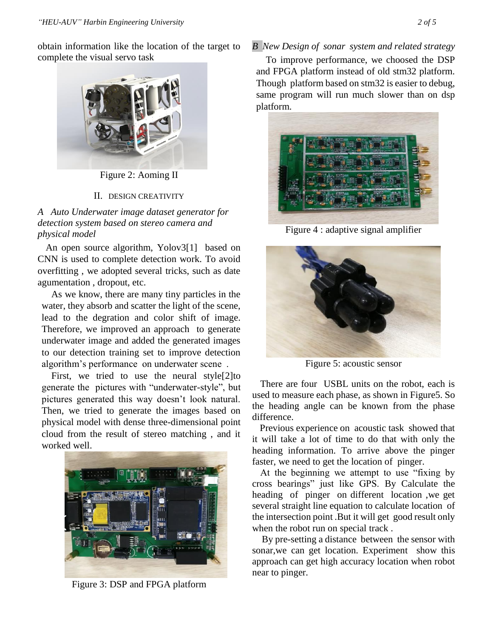obtain information like the location of the target to complete the visual servo task



Figure 2: Aoming II

## II. DESIGN CREATIVITY

*A Auto Underwater image dataset generator for detection system based on stereo camera and physical model* 

An open source algorithm, Yolov[3\[1\]](#page-3-0) based on CNN is used to complete detection work. To avoid overfitting , we adopted several tricks, such as date agumentation , dropout, etc.

As we know, there are many tiny particles in the water, they absorb and scatter the light of the scene, lead to the degration and color shift of image. Therefore, we improved an approach to generate underwater image and added the generated images to our detection training set to improve detection algorithm's performance on underwater scene .

First, we tried to use the neural styl[e\[2\]t](#page-3-1)o generate the pictures with "underwater-style", but pictures generated this way doesn't look natural. Then, we tried to generate the images based on physical model with dense three-dimensional point cloud from the result of stereo matching , and it worked well.



Figure 3: DSP and FPGA platform

# *B New Design of sonar system and related strategy*

To improve performance, we choosed the DSP and FPGA platform instead of old stm32 platform. Though platform based on stm32 is easier to debug, same program will run much slower than on dsp platform.



Figure 4 : adaptive signal amplifier



Figure 5: acoustic sensor

There are four USBL units on the robot, each is used to measure each phase, as shown in Figure5. So the heading angle can be known from the phase difference.

Previous experience on acoustic task showed that it will take a lot of time to do that with only the heading information. To arrive above the pinger faster, we need to get the location of pinger.

At the beginning we attempt to use "fixing by cross bearings" just like GPS. By Calculate the heading of pinger on different location ,we get several straight line equation to calculate location of the intersection point .But it will get good result only when the robot run on special track .

By pre-setting a distance between the sensor with sonar,we can get location. Experiment show this approach can get high accuracy location when robot near to pinger.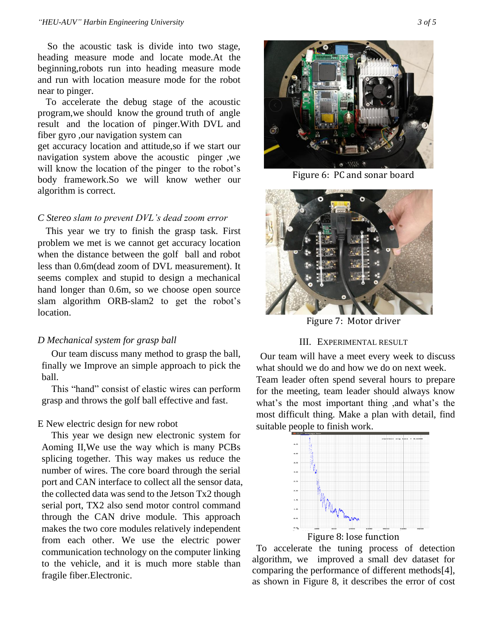So the acoustic task is divide into two stage, heading measure mode and locate mode.At the beginning,robots run into heading measure mode and run with location measure mode for the robot near to pinger.

To accelerate the debug stage of the acoustic program,we should know the ground truth of angle result and the location of pinger.With DVL and fiber gyro ,our navigation system can

get accuracy location and attitude,so if we start our navigation system above the acoustic pinger ,we will know the location of the pinger to the robot's body framework.So we will know wether our algorithm is correct.

### *C Stereo slam to prevent DVL's dead zoom error*

This year we try to finish the grasp task. First problem we met is we cannot get accuracy location when the distance between the golf ball and robot less than 0.6m(dead zoom of DVL measurement). It seems complex and stupid to design a mechanical hand longer than 0.6m, so we choose open source slam algorithm ORB-slam2 to get the robot's location.

### *D Mechanical system for grasp ball*

Our team discuss many method to grasp the ball, finally we Improve an simple approach to pick the ball.

This "hand" consist of elastic wires can perform grasp and throws the golf ball effective and fast.

#### E New electric design for new robot

This year we design new electronic system for Aoming II,We use the way which is many PCBs splicing together. This way makes us reduce the number of wires. The core board through the serial port and CAN interface to collect all the sensor data, the collected data was send to the Jetson Tx2 though serial port, TX2 also send motor control command through the CAN drive module. This approach makes the two core modules relatively independent from each other. We use the electric power communication technology on the computer linking to the vehicle, and it is much more stable than fragile fiber.Electronic.



Figure 6: PC and sonar board



Figure 7: Motor driver

### III. EXPERIMENTAL RESULT

Our team will have a meet every week to discuss what should we do and how we do on next week. Team leader often spend several hours to prepare for the meeting, team leader should always know what's the most important thing ,and what's the most difficult thing. Make a plan with detail, find suitable people to finish work.



To accelerate the tuning process of detection algorithm, we improved a small dev dataset for comparing the performance of different method[s\[4\],](#page-3-2) as shown in Figure 8, it describes the error of cost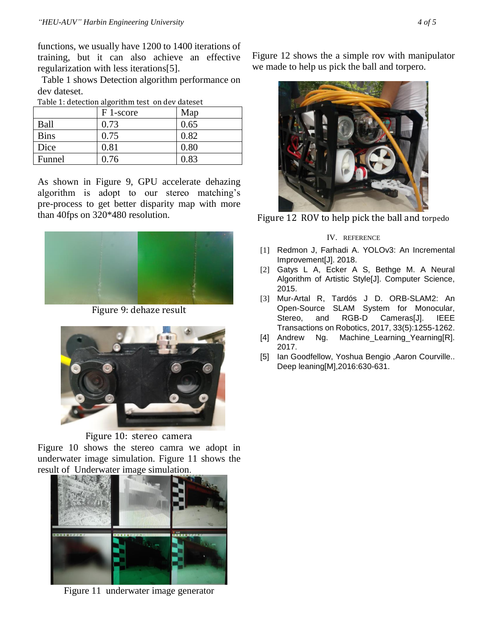functions, we usually have 1200 to 1400 iterations of training, but it can also achieve an effective regularization with less iteration[s\[5\].](#page-3-3)

Table 1 shows Detection algorithm performance on dev dateset.

| Table 1: detection algorithm test on dev dateset |  |  |
|--------------------------------------------------|--|--|
|                                                  |  |  |

|             | F 1-score | Map  |
|-------------|-----------|------|
| Ball        | 0.73      | 0.65 |
| <b>Bins</b> | 0.75      | 0.82 |
| Dice        | 0.81      | 0.80 |
| Funnel      | 0.76      | 0.83 |

As shown in Figure 9, GPU accelerate dehazing algorithm is adopt to our stereo matching's pre-process to get better disparity map with more than 40fps on 320\*480 resolution.



Figure 9: dehaze result



Figure 10: stereo camera

Figure 10 shows the stereo camra we adopt in underwater image simulation. Figure 11 shows the result of Underwater image simulation.



Figure 11 underwater image generator

Figure 12 shows the a simple rov with manipulator we made to help us pick the ball and torpero.



Figure 12 ROV to help pick the ball and [torpedo](https://www.baidu.com/link?url=MGPldFZvmGNOUl2eLP8FYExs6Ft7PeEo9iVlQ2Eha3uU3qJaW3Z2ZoSKYzESjo2sJKiZ3w9QWzDAcGrg5ov5Crb2QqVRVwaacc6X7zy0qZG&wd=&eqid=db7b83ed0000cbd6000000025b3b2f2a)

### IV. REFERENCE

- <span id="page-3-0"></span>[1] Redmon J, Farhadi A. YOLOv3: An Incremental Improvement[J]. 2018.
- <span id="page-3-1"></span>[2] Gatys L A, Ecker A S, Bethge M. A Neural Algorithm of Artistic Style[J]. Computer Science, 2015.
- [3] Mur-Artal R, Tardós J D. ORB-SLAM2: An Open-Source SLAM System for Monocular, Stereo, and RGB-D Cameras[J]. IEEE Transactions on Robotics, 2017, 33(5):1255-1262.
- <span id="page-3-2"></span>[4] Andrew Ng. Machine\_Learning\_Yearning[R]. 2017.
- <span id="page-3-3"></span>[5] Ian Goodfellow, Yoshua Bengio , Aaron Courville.. Deep leaning[M],2016:630-631.